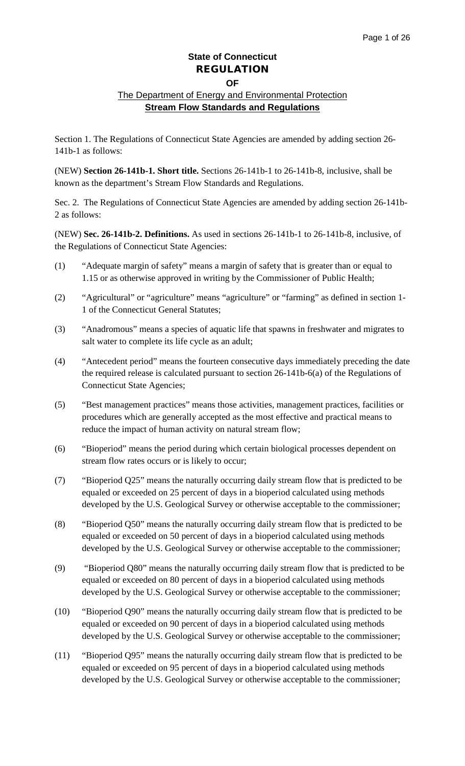#### **OF**

#### The Department of Energy and Environmental Protection **Stream Flow Standards and Regulations**

Section 1. The Regulations of Connecticut State Agencies are amended by adding section 26- 141b-1 as follows:

(NEW) **Section 26-141b-1. Short title.** Sections 26-141b-1 to 26-141b-8, inclusive, shall be known as the department's Stream Flow Standards and Regulations.

Sec. 2. The Regulations of Connecticut State Agencies are amended by adding section 26-141b-2 as follows:

(NEW) **Sec. 26-141b-2. Definitions.** As used in sections 26-141b-1 to 26-141b-8, inclusive, of the Regulations of Connecticut State Agencies:

- (1) "Adequate margin of safety" means a margin of safety that is greater than or equal to 1.15 or as otherwise approved in writing by the Commissioner of Public Health;
- (2) "Agricultural" or "agriculture" means "agriculture" or "farming" as defined in section 1- 1 of the Connecticut General Statutes;
- (3) "Anadromous" means a species of aquatic life that spawns in freshwater and migrates to salt water to complete its life cycle as an adult;
- (4) "Antecedent period" means the fourteen consecutive days immediately preceding the date the required release is calculated pursuant to section 26-141b-6(a) of the Regulations of Connecticut State Agencies;
- (5) "Best management practices" means those activities, management practices, facilities or procedures which are generally accepted as the most effective and practical means to reduce the impact of human activity on natural stream flow;
- (6) "Bioperiod" means the period during which certain biological processes dependent on stream flow rates occurs or is likely to occur;
- (7) "Bioperiod Q25" means the naturally occurring daily stream flow that is predicted to be equaled or exceeded on 25 percent of days in a bioperiod calculated using methods developed by the U.S. Geological Survey or otherwise acceptable to the commissioner;
- (8) "Bioperiod Q50" means the naturally occurring daily stream flow that is predicted to be equaled or exceeded on 50 percent of days in a bioperiod calculated using methods developed by the U.S. Geological Survey or otherwise acceptable to the commissioner;
- (9) "Bioperiod Q80" means the naturally occurring daily stream flow that is predicted to be equaled or exceeded on 80 percent of days in a bioperiod calculated using methods developed by the U.S. Geological Survey or otherwise acceptable to the commissioner;
- (10) "Bioperiod Q90" means the naturally occurring daily stream flow that is predicted to be equaled or exceeded on 90 percent of days in a bioperiod calculated using methods developed by the U.S. Geological Survey or otherwise acceptable to the commissioner;
- (11) "Bioperiod Q95" means the naturally occurring daily stream flow that is predicted to be equaled or exceeded on 95 percent of days in a bioperiod calculated using methods developed by the U.S. Geological Survey or otherwise acceptable to the commissioner;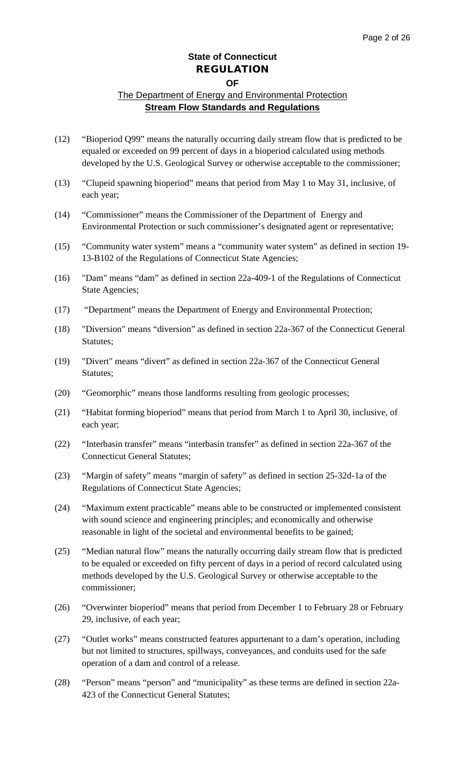## **OF**

- (12) "Bioperiod Q99" means the naturally occurring daily stream flow that is predicted to be equaled or exceeded on 99 percent of days in a bioperiod calculated using methods developed by the U.S. Geological Survey or otherwise acceptable to the commissioner;
- (13) "Clupeid spawning bioperiod" means that period from May 1 to May 31, inclusive, of each year;
- (14) "Commissioner" means the Commissioner of the Department of Energy and Environmental Protection or such commissioner's designated agent or representative;
- (15) "Community water system" means a "community water system" as defined in section 19- 13-B102 of the Regulations of Connecticut State Agencies;
- (16) "Dam" means "dam" as defined in section 22a-409-1 of the Regulations of Connecticut State Agencies;
- (17) "Department" means the Department of Energy and Environmental Protection;
- (18) "Diversion" means "diversion" as defined in section 22a-367 of the Connecticut General Statutes;
- (19) "Divert" means "divert" as defined in section 22a-367 of the Connecticut General Statutes;
- (20) "Geomorphic" means those landforms resulting from geologic processes;
- (21) "Habitat forming bioperiod" means that period from March 1 to April 30, inclusive, of each year;
- (22) "Interbasin transfer" means "interbasin transfer" as defined in section 22a-367 of the Connecticut General Statutes;
- (23) "Margin of safety" means "margin of safety" as defined in section 25-32d-1a of the Regulations of Connecticut State Agencies;
- (24) "Maximum extent practicable" means able to be constructed or implemented consistent with sound science and engineering principles; and economically and otherwise reasonable in light of the societal and environmental benefits to be gained;
- (25) "Median natural flow" means the naturally occurring daily stream flow that is predicted to be equaled or exceeded on fifty percent of days in a period of record calculated using methods developed by the U.S. Geological Survey or otherwise acceptable to the commissioner;
- (26) "Overwinter bioperiod" means that period from December 1 to February 28 or February 29, inclusive, of each year;
- (27) "Outlet works" means constructed features appurtenant to a dam's operation, including but not limited to structures, spillways, conveyances, and conduits used for the safe operation of a dam and control of a release.
- (28) "Person" means "person" and "municipality" as these terms are defined in section 22a-423 of the Connecticut General Statutes;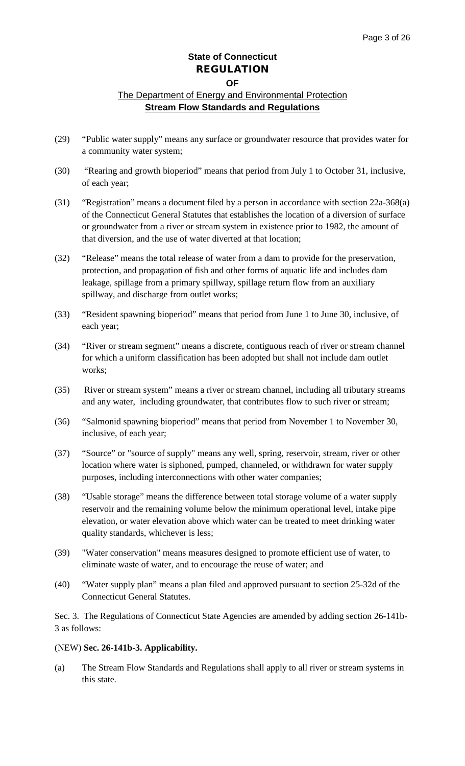## The Department of Energy and Environmental Protection **Stream Flow Standards and Regulations**

- (29) "Public water supply" means any surface or groundwater resource that provides water for a community water system;
- (30) "Rearing and growth bioperiod" means that period from July 1 to October 31, inclusive, of each year;
- (31) "Registration" means a document filed by a person in accordance with section 22a-368(a) of the Connecticut General Statutes that establishes the location of a diversion of surface or groundwater from a river or stream system in existence prior to 1982, the amount of that diversion, and the use of water diverted at that location;
- (32) "Release" means the total release of water from a dam to provide for the preservation, protection, and propagation of fish and other forms of aquatic life and includes dam leakage, spillage from a primary spillway, spillage return flow from an auxiliary spillway, and discharge from outlet works;
- (33) "Resident spawning bioperiod" means that period from June 1 to June 30, inclusive, of each year;
- (34) "River or stream segment" means a discrete, contiguous reach of river or stream channel for which a uniform classification has been adopted but shall not include dam outlet works;
- (35) River or stream system" means a river or stream channel, including all tributary streams and any water, including groundwater, that contributes flow to such river or stream;
- (36) "Salmonid spawning bioperiod" means that period from November 1 to November 30, inclusive, of each year;
- (37) "Source" or "source of supply" means any well, spring, reservoir, stream, river or other location where water is siphoned, pumped, channeled, or withdrawn for water supply purposes, including interconnections with other water companies;
- (38) "Usable storage" means the difference between total storage volume of a water supply reservoir and the remaining volume below the minimum operational level, intake pipe elevation, or water elevation above which water can be treated to meet drinking water quality standards, whichever is less;
- (39) "Water conservation" means measures designed to promote efficient use of water, to eliminate waste of water, and to encourage the reuse of water; and
- (40) "Water supply plan" means a plan filed and approved pursuant to section 25-32d of the Connecticut General Statutes.

Sec. 3. The Regulations of Connecticut State Agencies are amended by adding section 26-141b-3 as follows:

#### (NEW) **Sec. 26-141b-3. Applicability.**

(a) The Stream Flow Standards and Regulations shall apply to all river or stream systems in this state.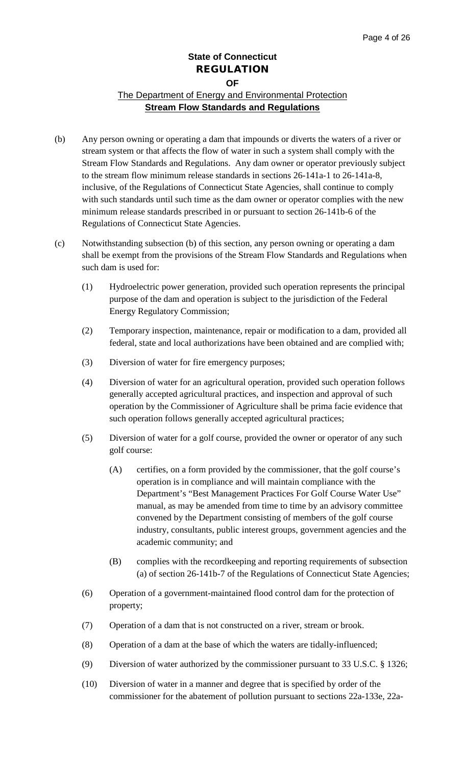- (b) Any person owning or operating a dam that impounds or diverts the waters of a river or stream system or that affects the flow of water in such a system shall comply with the Stream Flow Standards and Regulations. Any dam owner or operator previously subject to the stream flow minimum release standards in sections 26-141a-1 to 26-141a-8, inclusive, of the Regulations of Connecticut State Agencies, shall continue to comply with such standards until such time as the dam owner or operator complies with the new minimum release standards prescribed in or pursuant to section 26-141b-6 of the Regulations of Connecticut State Agencies.
- (c) Notwithstanding subsection (b) of this section, any person owning or operating a dam shall be exempt from the provisions of the Stream Flow Standards and Regulations when such dam is used for:
	- (1) Hydroelectric power generation, provided such operation represents the principal purpose of the dam and operation is subject to the jurisdiction of the Federal Energy Regulatory Commission;
	- (2) Temporary inspection, maintenance, repair or modification to a dam, provided all federal, state and local authorizations have been obtained and are complied with;
	- (3) Diversion of water for fire emergency purposes;
	- (4) Diversion of water for an agricultural operation, provided such operation follows generally accepted agricultural practices, and inspection and approval of such operation by the Commissioner of Agriculture shall be prima facie evidence that such operation follows generally accepted agricultural practices;
	- (5) Diversion of water for a golf course, provided the owner or operator of any such golf course:
		- (A) certifies, on a form provided by the commissioner, that the golf course's operation is in compliance and will maintain compliance with the Department's "Best Management Practices For Golf Course Water Use" manual, as may be amended from time to time by an advisory committee convened by the Department consisting of members of the golf course industry, consultants, public interest groups, government agencies and the academic community; and
		- (B) complies with the recordkeeping and reporting requirements of subsection (a) of section 26-141b-7 of the Regulations of Connecticut State Agencies;
	- (6) Operation of a government-maintained flood control dam for the protection of property;
	- (7) Operation of a dam that is not constructed on a river, stream or brook.
	- (8) Operation of a dam at the base of which the waters are tidally-influenced;
	- (9) Diversion of water authorized by the commissioner pursuant to 33 U.S.C. § 1326;
	- (10) Diversion of water in a manner and degree that is specified by order of the commissioner for the abatement of pollution pursuant to sections 22a-133e, 22a-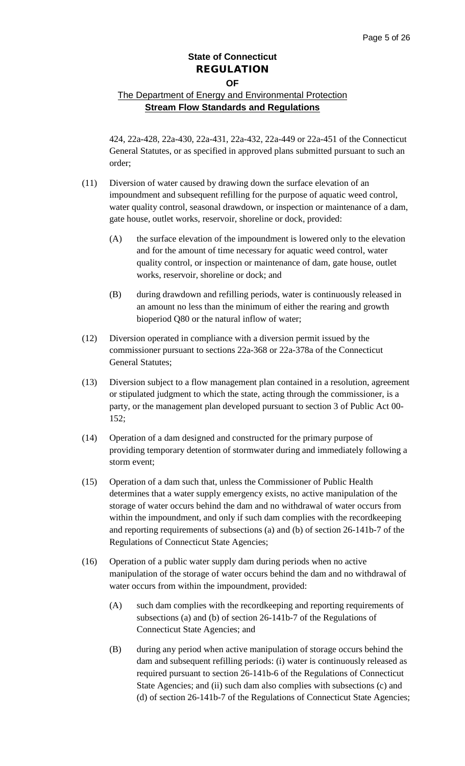## The Department of Energy and Environmental Protection **Stream Flow Standards and Regulations**

424, 22a-428, 22a-430, 22a-431, 22a-432, 22a-449 or 22a-451 of the Connecticut General Statutes, or as specified in approved plans submitted pursuant to such an order;

- (11) Diversion of water caused by drawing down the surface elevation of an impoundment and subsequent refilling for the purpose of aquatic weed control, water quality control, seasonal drawdown, or inspection or maintenance of a dam, gate house, outlet works, reservoir, shoreline or dock, provided:
	- (A) the surface elevation of the impoundment is lowered only to the elevation and for the amount of time necessary for aquatic weed control, water quality control, or inspection or maintenance of dam, gate house, outlet works, reservoir, shoreline or dock; and
	- (B) during drawdown and refilling periods, water is continuously released in an amount no less than the minimum of either the rearing and growth bioperiod Q80 or the natural inflow of water;
- (12) Diversion operated in compliance with a diversion permit issued by the commissioner pursuant to sections 22a-368 or 22a-378a of the Connecticut General Statutes;
- (13) Diversion subject to a flow management plan contained in a resolution, agreement or stipulated judgment to which the state, acting through the commissioner, is a party, or the management plan developed pursuant to section 3 of Public Act 00- 152;
- (14) Operation of a dam designed and constructed for the primary purpose of providing temporary detention of stormwater during and immediately following a storm event;
- (15) Operation of a dam such that, unless the Commissioner of Public Health determines that a water supply emergency exists, no active manipulation of the storage of water occurs behind the dam and no withdrawal of water occurs from within the impoundment, and only if such dam complies with the recordkeeping and reporting requirements of subsections (a) and (b) of section 26-141b-7 of the Regulations of Connecticut State Agencies;
- (16) Operation of a public water supply dam during periods when no active manipulation of the storage of water occurs behind the dam and no withdrawal of water occurs from within the impoundment, provided:
	- (A) such dam complies with the recordkeeping and reporting requirements of subsections (a) and (b) of section 26-141b-7 of the Regulations of Connecticut State Agencies; and
	- (B) during any period when active manipulation of storage occurs behind the dam and subsequent refilling periods: (i) water is continuously released as required pursuant to section 26-141b-6 of the Regulations of Connecticut State Agencies; and (ii) such dam also complies with subsections (c) and (d) of section 26-141b-7 of the Regulations of Connecticut State Agencies;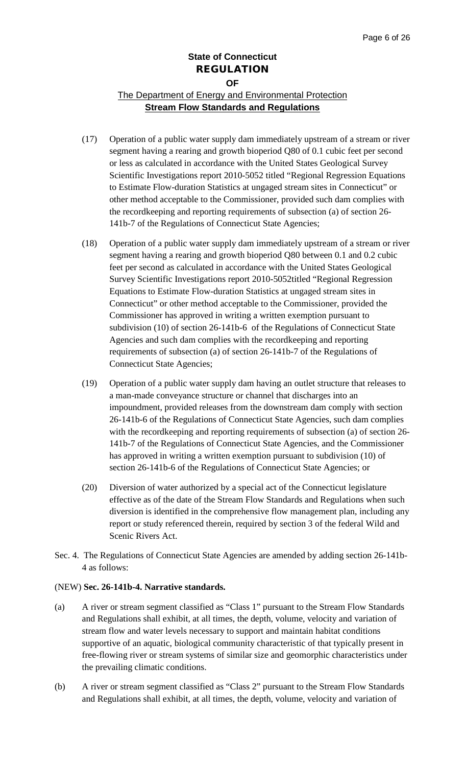### The Department of Energy and Environmental Protection **Stream Flow Standards and Regulations**

- (17) Operation of a public water supply dam immediately upstream of a stream or river segment having a rearing and growth bioperiod Q80 of 0.1 cubic feet per second or less as calculated in accordance with the United States Geological Survey Scientific Investigations report 2010-5052 titled "Regional Regression Equations to Estimate Flow-duration Statistics at ungaged stream sites in Connecticut" or other method acceptable to the Commissioner, provided such dam complies with the recordkeeping and reporting requirements of subsection (a) of section 26- 141b-7 of the Regulations of Connecticut State Agencies;
- (18) Operation of a public water supply dam immediately upstream of a stream or river segment having a rearing and growth bioperiod Q80 between 0.1 and 0.2 cubic feet per second as calculated in accordance with the United States Geological Survey Scientific Investigations report 2010-5052titled "Regional Regression Equations to Estimate Flow-duration Statistics at ungaged stream sites in Connecticut" or other method acceptable to the Commissioner, provided the Commissioner has approved in writing a written exemption pursuant to subdivision (10) of section 26-141b-6 of the Regulations of Connecticut State Agencies and such dam complies with the recordkeeping and reporting requirements of subsection (a) of section 26-141b-7 of the Regulations of Connecticut State Agencies;
- (19) Operation of a public water supply dam having an outlet structure that releases to a man-made conveyance structure or channel that discharges into an impoundment, provided releases from the downstream dam comply with section 26-141b-6 of the Regulations of Connecticut State Agencies, such dam complies with the recordkeeping and reporting requirements of subsection (a) of section 26- 141b-7 of the Regulations of Connecticut State Agencies, and the Commissioner has approved in writing a written exemption pursuant to subdivision (10) of section 26-141b-6 of the Regulations of Connecticut State Agencies; or
- (20) Diversion of water authorized by a special act of the Connecticut legislature effective as of the date of the Stream Flow Standards and Regulations when such diversion is identified in the comprehensive flow management plan, including any report or study referenced therein, required by section 3 of the federal Wild and Scenic Rivers Act.
- Sec. 4. The Regulations of Connecticut State Agencies are amended by adding section 26-141b-4 as follows:

#### (NEW) **Sec. 26-141b-4. Narrative standards.**

- (a) A river or stream segment classified as "Class 1" pursuant to the Stream Flow Standards and Regulations shall exhibit, at all times, the depth, volume, velocity and variation of stream flow and water levels necessary to support and maintain habitat conditions supportive of an aquatic, biological community characteristic of that typically present in free-flowing river or stream systems of similar size and geomorphic characteristics under the prevailing climatic conditions.
- (b) A river or stream segment classified as "Class 2" pursuant to the Stream Flow Standards and Regulations shall exhibit, at all times, the depth, volume, velocity and variation of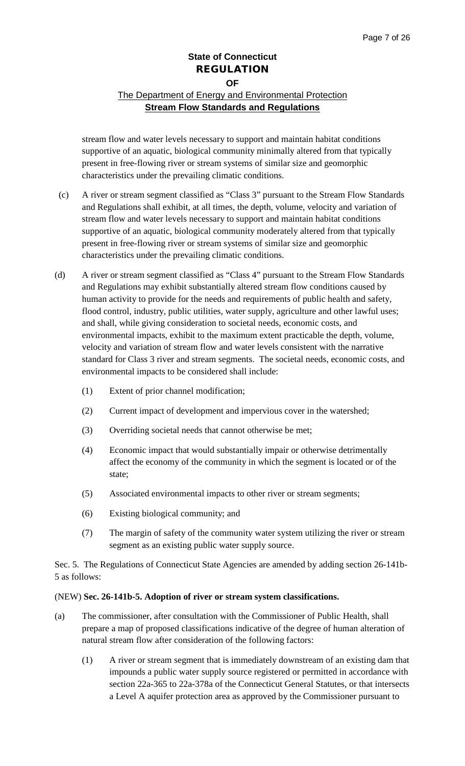## The Department of Energy and Environmental Protection **Stream Flow Standards and Regulations**

stream flow and water levels necessary to support and maintain habitat conditions supportive of an aquatic, biological community minimally altered from that typically present in free-flowing river or stream systems of similar size and geomorphic characteristics under the prevailing climatic conditions.

- (c) A river or stream segment classified as "Class 3" pursuant to the Stream Flow Standards and Regulations shall exhibit, at all times, the depth, volume, velocity and variation of stream flow and water levels necessary to support and maintain habitat conditions supportive of an aquatic, biological community moderately altered from that typically present in free-flowing river or stream systems of similar size and geomorphic characteristics under the prevailing climatic conditions.
- (d) A river or stream segment classified as "Class 4" pursuant to the Stream Flow Standards and Regulations may exhibit substantially altered stream flow conditions caused by human activity to provide for the needs and requirements of public health and safety, flood control, industry, public utilities, water supply, agriculture and other lawful uses; and shall, while giving consideration to societal needs, economic costs, and environmental impacts, exhibit to the maximum extent practicable the depth, volume, velocity and variation of stream flow and water levels consistent with the narrative standard for Class 3 river and stream segments. The societal needs, economic costs, and environmental impacts to be considered shall include:
	- (1) Extent of prior channel modification;
	- (2) Current impact of development and impervious cover in the watershed;
	- (3) Overriding societal needs that cannot otherwise be met;
	- (4) Economic impact that would substantially impair or otherwise detrimentally affect the economy of the community in which the segment is located or of the state;
	- (5) Associated environmental impacts to other river or stream segments;
	- (6) Existing biological community; and
	- (7) The margin of safety of the community water system utilizing the river or stream segment as an existing public water supply source.

Sec. 5. The Regulations of Connecticut State Agencies are amended by adding section 26-141b-5 as follows:

#### (NEW) **Sec. 26-141b-5. Adoption of river or stream system classifications.**

- (a) The commissioner, after consultation with the Commissioner of Public Health, shall prepare a map of proposed classifications indicative of the degree of human alteration of natural stream flow after consideration of the following factors:
	- (1) A river or stream segment that is immediately downstream of an existing dam that impounds a public water supply source registered or permitted in accordance with section 22a-365 to 22a-378a of the Connecticut General Statutes, or that intersects a Level A aquifer protection area as approved by the Commissioner pursuant to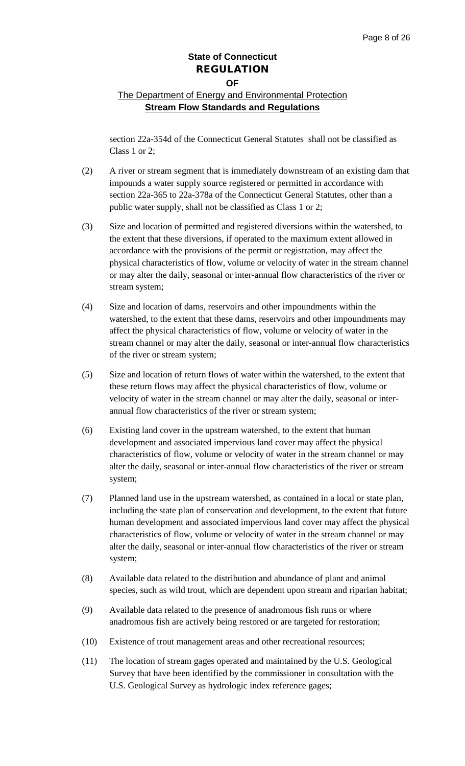## The Department of Energy and Environmental Protection **Stream Flow Standards and Regulations**

section 22a-354d of the Connecticut General Statutes shall not be classified as Class 1 or 2;

- (2) A river or stream segment that is immediately downstream of an existing dam that impounds a water supply source registered or permitted in accordance with section 22a-365 to 22a-378a of the Connecticut General Statutes, other than a public water supply, shall not be classified as Class 1 or 2;
- (3) Size and location of permitted and registered diversions within the watershed, to the extent that these diversions, if operated to the maximum extent allowed in accordance with the provisions of the permit or registration, may affect the physical characteristics of flow, volume or velocity of water in the stream channel or may alter the daily, seasonal or inter-annual flow characteristics of the river or stream system;
- (4) Size and location of dams, reservoirs and other impoundments within the watershed, to the extent that these dams, reservoirs and other impoundments may affect the physical characteristics of flow, volume or velocity of water in the stream channel or may alter the daily, seasonal or inter-annual flow characteristics of the river or stream system;
- (5) Size and location of return flows of water within the watershed, to the extent that these return flows may affect the physical characteristics of flow, volume or velocity of water in the stream channel or may alter the daily, seasonal or interannual flow characteristics of the river or stream system;
- (6) Existing land cover in the upstream watershed, to the extent that human development and associated impervious land cover may affect the physical characteristics of flow, volume or velocity of water in the stream channel or may alter the daily, seasonal or inter-annual flow characteristics of the river or stream system;
- (7) Planned land use in the upstream watershed, as contained in a local or state plan, including the state plan of conservation and development, to the extent that future human development and associated impervious land cover may affect the physical characteristics of flow, volume or velocity of water in the stream channel or may alter the daily, seasonal or inter-annual flow characteristics of the river or stream system;
- (8) Available data related to the distribution and abundance of plant and animal species, such as wild trout, which are dependent upon stream and riparian habitat;
- (9) Available data related to the presence of anadromous fish runs or where anadromous fish are actively being restored or are targeted for restoration;
- (10) Existence of trout management areas and other recreational resources;
- (11) The location of stream gages operated and maintained by the U.S. Geological Survey that have been identified by the commissioner in consultation with the U.S. Geological Survey as hydrologic index reference gages;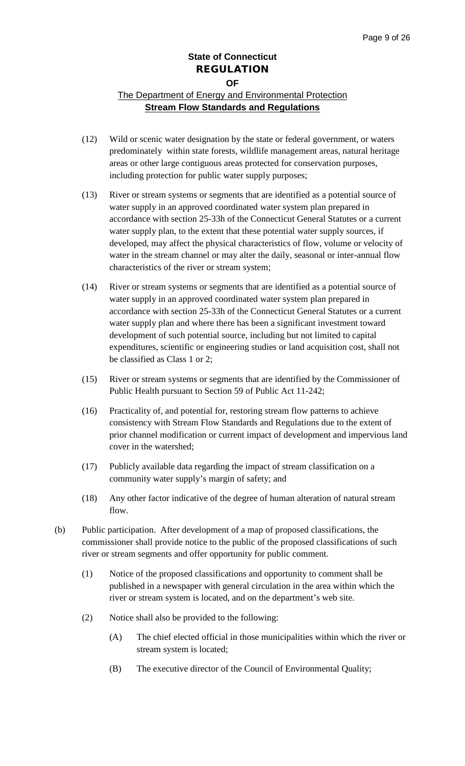- (12) Wild or scenic water designation by the state or federal government, or waters predominately within state forests, wildlife management areas, natural heritage areas or other large contiguous areas protected for conservation purposes, including protection for public water supply purposes;
- (13) River or stream systems or segments that are identified as a potential source of water supply in an approved coordinated water system plan prepared in accordance with section 25-33h of the Connecticut General Statutes or a current water supply plan, to the extent that these potential water supply sources, if developed, may affect the physical characteristics of flow, volume or velocity of water in the stream channel or may alter the daily, seasonal or inter-annual flow characteristics of the river or stream system;
- (14) River or stream systems or segments that are identified as a potential source of water supply in an approved coordinated water system plan prepared in accordance with section 25-33h of the Connecticut General Statutes or a current water supply plan and where there has been a significant investment toward development of such potential source, including but not limited to capital expenditures, scientific or engineering studies or land acquisition cost, shall not be classified as Class 1 or 2;
- (15) River or stream systems or segments that are identified by the Commissioner of Public Health pursuant to Section 59 of Public Act 11-242;
- (16) Practicality of, and potential for, restoring stream flow patterns to achieve consistency with Stream Flow Standards and Regulations due to the extent of prior channel modification or current impact of development and impervious land cover in the watershed;
- (17) Publicly available data regarding the impact of stream classification on a community water supply's margin of safety; and
- (18) Any other factor indicative of the degree of human alteration of natural stream flow.
- (b) Public participation. After development of a map of proposed classifications, the commissioner shall provide notice to the public of the proposed classifications of such river or stream segments and offer opportunity for public comment.
	- (1) Notice of the proposed classifications and opportunity to comment shall be published in a newspaper with general circulation in the area within which the river or stream system is located, and on the department's web site.
	- (2) Notice shall also be provided to the following:
		- (A) The chief elected official in those municipalities within which the river or stream system is located;
		- (B) The executive director of the Council of Environmental Quality;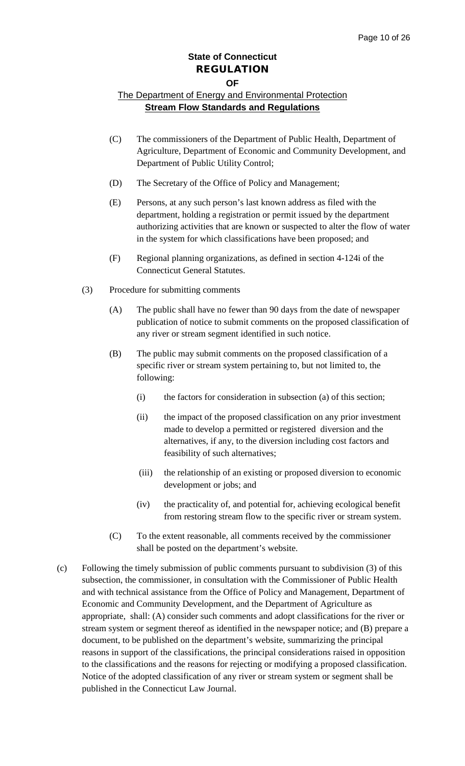#### **OF**

- (C) The commissioners of the Department of Public Health, Department of Agriculture, Department of Economic and Community Development, and Department of Public Utility Control;
- (D) The Secretary of the Office of Policy and Management;
- (E) Persons, at any such person's last known address as filed with the department, holding a registration or permit issued by the department authorizing activities that are known or suspected to alter the flow of water in the system for which classifications have been proposed; and
- (F) Regional planning organizations, as defined in section 4-124i of the Connecticut General Statutes.
- (3) Procedure for submitting comments
	- (A) The public shall have no fewer than 90 days from the date of newspaper publication of notice to submit comments on the proposed classification of any river or stream segment identified in such notice.
	- (B) The public may submit comments on the proposed classification of a specific river or stream system pertaining to, but not limited to, the following:
		- (i) the factors for consideration in subsection (a) of this section;
		- (ii) the impact of the proposed classification on any prior investment made to develop a permitted or registered diversion and the alternatives, if any, to the diversion including cost factors and feasibility of such alternatives;
		- (iii) the relationship of an existing or proposed diversion to economic development or jobs; and
		- (iv) the practicality of, and potential for, achieving ecological benefit from restoring stream flow to the specific river or stream system.
	- (C) To the extent reasonable, all comments received by the commissioner shall be posted on the department's website.
- (c) Following the timely submission of public comments pursuant to subdivision (3) of this subsection, the commissioner, in consultation with the Commissioner of Public Health and with technical assistance from the Office of Policy and Management, Department of Economic and Community Development, and the Department of Agriculture as appropriate, shall: (A) consider such comments and adopt classifications for the river or stream system or segment thereof as identified in the newspaper notice; and (B) prepare a document, to be published on the department's website, summarizing the principal reasons in support of the classifications, the principal considerations raised in opposition to the classifications and the reasons for rejecting or modifying a proposed classification. Notice of the adopted classification of any river or stream system or segment shall be published in the Connecticut Law Journal.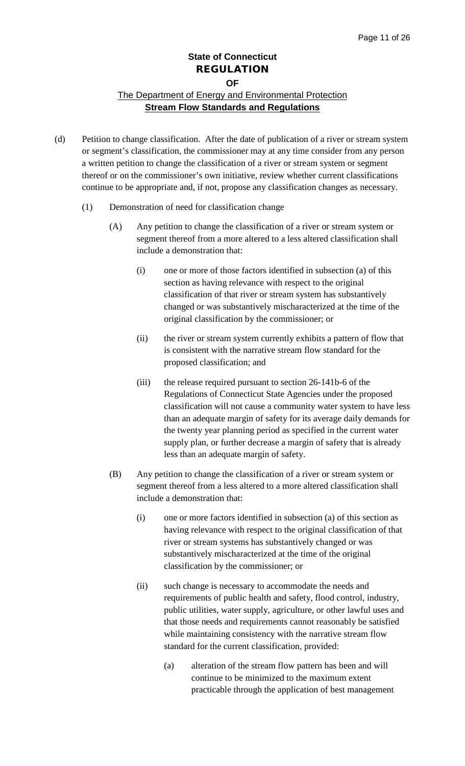- (d) Petition to change classification. After the date of publication of a river or stream system or segment's classification, the commissioner may at any time consider from any person a written petition to change the classification of a river or stream system or segment thereof or on the commissioner's own initiative, review whether current classifications continue to be appropriate and, if not, propose any classification changes as necessary.
	- (1) Demonstration of need for classification change
		- (A) Any petition to change the classification of a river or stream system or segment thereof from a more altered to a less altered classification shall include a demonstration that:
			- (i) one or more of those factors identified in subsection (a) of this section as having relevance with respect to the original classification of that river or stream system has substantively changed or was substantively mischaracterized at the time of the original classification by the commissioner; or
			- (ii) the river or stream system currently exhibits a pattern of flow that is consistent with the narrative stream flow standard for the proposed classification; and
			- (iii) the release required pursuant to section 26-141b-6 of the Regulations of Connecticut State Agencies under the proposed classification will not cause a community water system to have less than an adequate margin of safety for its average daily demands for the twenty year planning period as specified in the current water supply plan, or further decrease a margin of safety that is already less than an adequate margin of safety.
		- (B) Any petition to change the classification of a river or stream system or segment thereof from a less altered to a more altered classification shall include a demonstration that:
			- (i) one or more factors identified in subsection (a) of this section as having relevance with respect to the original classification of that river or stream systems has substantively changed or was substantively mischaracterized at the time of the original classification by the commissioner; or
			- (ii) such change is necessary to accommodate the needs and requirements of public health and safety, flood control, industry, public utilities, water supply, agriculture, or other lawful uses and that those needs and requirements cannot reasonably be satisfied while maintaining consistency with the narrative stream flow standard for the current classification, provided:
				- (a) alteration of the stream flow pattern has been and will continue to be minimized to the maximum extent practicable through the application of best management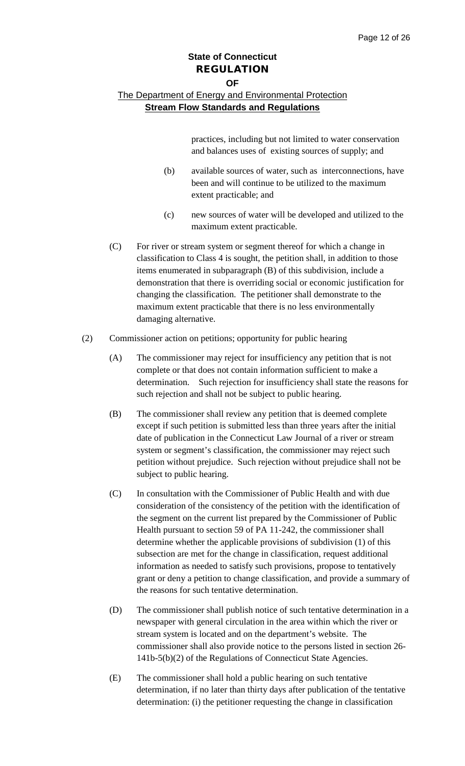#### **OF**

### The Department of Energy and Environmental Protection **Stream Flow Standards and Regulations**

practices, including but not limited to water conservation and balances uses of existing sources of supply; and

- (b) available sources of water, such as interconnections, have been and will continue to be utilized to the maximum extent practicable; and
- (c) new sources of water will be developed and utilized to the maximum extent practicable.
- (C) For river or stream system or segment thereof for which a change in classification to Class 4 is sought, the petition shall, in addition to those items enumerated in subparagraph (B) of this subdivision, include a demonstration that there is overriding social or economic justification for changing the classification. The petitioner shall demonstrate to the maximum extent practicable that there is no less environmentally damaging alternative.
- (2) Commissioner action on petitions; opportunity for public hearing
	- (A) The commissioner may reject for insufficiency any petition that is not complete or that does not contain information sufficient to make a determination. Such rejection for insufficiency shall state the reasons for such rejection and shall not be subject to public hearing.
	- (B) The commissioner shall review any petition that is deemed complete except if such petition is submitted less than three years after the initial date of publication in the Connecticut Law Journal of a river or stream system or segment's classification, the commissioner may reject such petition without prejudice. Such rejection without prejudice shall not be subject to public hearing.
	- (C) In consultation with the Commissioner of Public Health and with due consideration of the consistency of the petition with the identification of the segment on the current list prepared by the Commissioner of Public Health pursuant to section 59 of PA 11-242, the commissioner shall determine whether the applicable provisions of subdivision (1) of this subsection are met for the change in classification, request additional information as needed to satisfy such provisions, propose to tentatively grant or deny a petition to change classification, and provide a summary of the reasons for such tentative determination.
	- (D) The commissioner shall publish notice of such tentative determination in a newspaper with general circulation in the area within which the river or stream system is located and on the department's website. The commissioner shall also provide notice to the persons listed in section 26- 141b-5(b)(2) of the Regulations of Connecticut State Agencies.
	- (E) The commissioner shall hold a public hearing on such tentative determination, if no later than thirty days after publication of the tentative determination: (i) the petitioner requesting the change in classification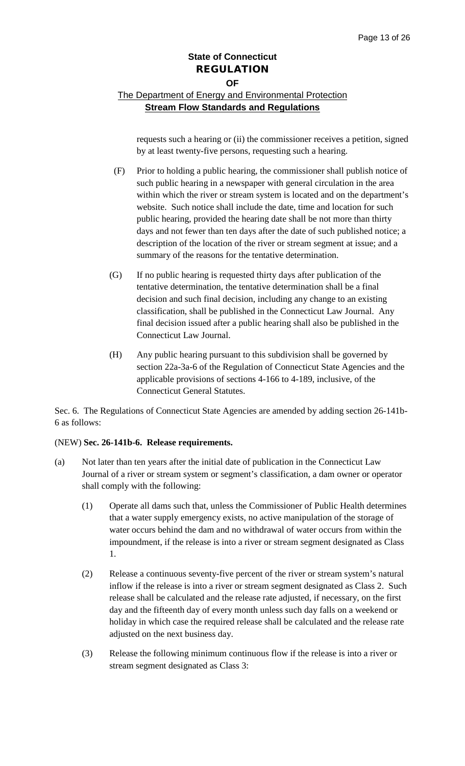## The Department of Energy and Environmental Protection **Stream Flow Standards and Regulations**

requests such a hearing or (ii) the commissioner receives a petition, signed by at least twenty-five persons, requesting such a hearing.

- (F) Prior to holding a public hearing, the commissioner shall publish notice of such public hearing in a newspaper with general circulation in the area within which the river or stream system is located and on the department's website. Such notice shall include the date, time and location for such public hearing, provided the hearing date shall be not more than thirty days and not fewer than ten days after the date of such published notice; a description of the location of the river or stream segment at issue; and a summary of the reasons for the tentative determination.
- (G) If no public hearing is requested thirty days after publication of the tentative determination, the tentative determination shall be a final decision and such final decision, including any change to an existing classification, shall be published in the Connecticut Law Journal. Any final decision issued after a public hearing shall also be published in the Connecticut Law Journal.
- (H) Any public hearing pursuant to this subdivision shall be governed by section 22a-3a-6 of the Regulation of Connecticut State Agencies and the applicable provisions of sections 4-166 to 4-189, inclusive, of the Connecticut General Statutes.

Sec. 6. The Regulations of Connecticut State Agencies are amended by adding section 26-141b-6 as follows:

#### (NEW) **Sec. 26-141b-6. Release requirements.**

- (a) Not later than ten years after the initial date of publication in the Connecticut Law Journal of a river or stream system or segment's classification, a dam owner or operator shall comply with the following:
	- (1) Operate all dams such that, unless the Commissioner of Public Health determines that a water supply emergency exists, no active manipulation of the storage of water occurs behind the dam and no withdrawal of water occurs from within the impoundment, if the release is into a river or stream segment designated as Class 1.
	- (2) Release a continuous seventy-five percent of the river or stream system's natural inflow if the release is into a river or stream segment designated as Class 2. Such release shall be calculated and the release rate adjusted, if necessary, on the first day and the fifteenth day of every month unless such day falls on a weekend or holiday in which case the required release shall be calculated and the release rate adjusted on the next business day.
	- (3) Release the following minimum continuous flow if the release is into a river or stream segment designated as Class 3: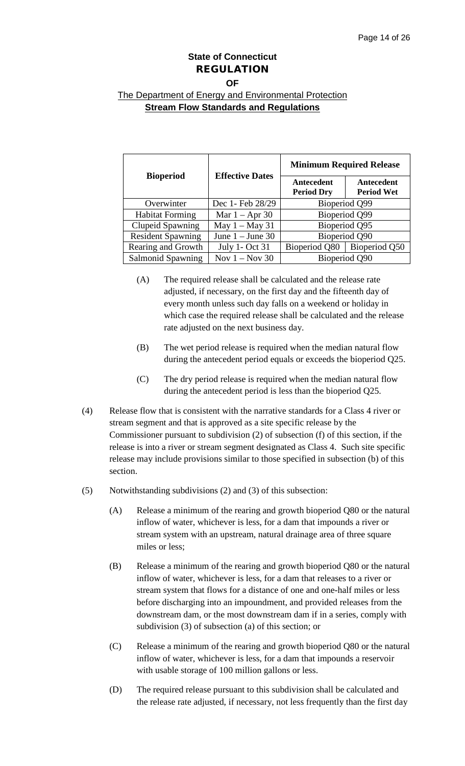#### **OF**

| <b>Bioperiod</b>         | <b>Effective Dates</b> | <b>Minimum Required Release</b> |                                 |
|--------------------------|------------------------|---------------------------------|---------------------------------|
|                          |                        | Antecedent<br><b>Period Dry</b> | Antecedent<br><b>Period Wet</b> |
| Overwinter               | Dec 1- Feb 28/29       | Bioperiod Q99                   |                                 |
| <b>Habitat Forming</b>   | Mar $1 -$ Apr 30       | Bioperiod Q99                   |                                 |
| <b>Clupeid Spawning</b>  | May $1 -$ May 31       | Bioperiod Q95                   |                                 |
| <b>Resident Spawning</b> | June $1 -$ June 30     | Bioperiod Q90                   |                                 |
| Rearing and Growth       | <b>July 1- Oct 31</b>  | Bioperiod Q80   Bioperiod Q50   |                                 |
| <b>Salmonid Spawning</b> | Nov $1 -$ Nov 30       | Bioperiod Q90                   |                                 |

- (A) The required release shall be calculated and the release rate adjusted, if necessary, on the first day and the fifteenth day of every month unless such day falls on a weekend or holiday in which case the required release shall be calculated and the release rate adjusted on the next business day.
- (B) The wet period release is required when the median natural flow during the antecedent period equals or exceeds the bioperiod Q25.
- (C) The dry period release is required when the median natural flow during the antecedent period is less than the bioperiod Q25.
- (4) Release flow that is consistent with the narrative standards for a Class 4 river or stream segment and that is approved as a site specific release by the Commissioner pursuant to subdivision (2) of subsection (f) of this section, if the release is into a river or stream segment designated as Class 4. Such site specific release may include provisions similar to those specified in subsection (b) of this section.
- (5) Notwithstanding subdivisions (2) and (3) of this subsection:
	- (A) Release a minimum of the rearing and growth bioperiod Q80 or the natural inflow of water, whichever is less, for a dam that impounds a river or stream system with an upstream, natural drainage area of three square miles or less;
	- (B) Release a minimum of the rearing and growth bioperiod Q80 or the natural inflow of water, whichever is less, for a dam that releases to a river or stream system that flows for a distance of one and one-half miles or less before discharging into an impoundment, and provided releases from the downstream dam, or the most downstream dam if in a series, comply with subdivision (3) of subsection (a) of this section; or
	- (C) Release a minimum of the rearing and growth bioperiod Q80 or the natural inflow of water, whichever is less, for a dam that impounds a reservoir with usable storage of 100 million gallons or less.
	- (D) The required release pursuant to this subdivision shall be calculated and the release rate adjusted, if necessary, not less frequently than the first day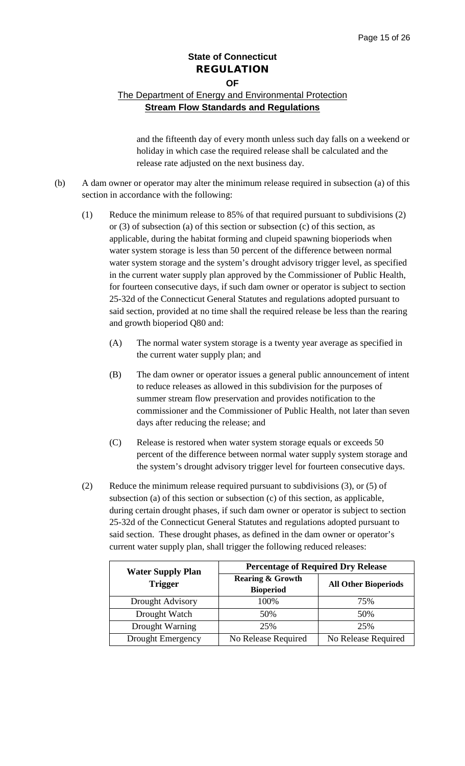## The Department of Energy and Environmental Protection **Stream Flow Standards and Regulations**

and the fifteenth day of every month unless such day falls on a weekend or holiday in which case the required release shall be calculated and the release rate adjusted on the next business day.

- (b) A dam owner or operator may alter the minimum release required in subsection (a) of this section in accordance with the following:
	- (1) Reduce the minimum release to 85% of that required pursuant to subdivisions (2) or (3) of subsection (a) of this section or subsection (c) of this section, as applicable, during the habitat forming and clupeid spawning bioperiods when water system storage is less than 50 percent of the difference between normal water system storage and the system's drought advisory trigger level, as specified in the current water supply plan approved by the Commissioner of Public Health, for fourteen consecutive days, if such dam owner or operator is subject to section 25-32d of the Connecticut General Statutes and regulations adopted pursuant to said section, provided at no time shall the required release be less than the rearing and growth bioperiod Q80 and:
		- (A) The normal water system storage is a twenty year average as specified in the current water supply plan; and
		- (B) The dam owner or operator issues a general public announcement of intent to reduce releases as allowed in this subdivision for the purposes of summer stream flow preservation and provides notification to the commissioner and the Commissioner of Public Health, not later than seven days after reducing the release; and
		- (C) Release is restored when water system storage equals or exceeds 50 percent of the difference between normal water supply system storage and the system's drought advisory trigger level for fourteen consecutive days.
	- (2) Reduce the minimum release required pursuant to subdivisions (3), or (5) of subsection (a) of this section or subsection (c) of this section, as applicable, during certain drought phases, if such dam owner or operator is subject to section 25-32d of the Connecticut General Statutes and regulations adopted pursuant to said section. These drought phases, as defined in the dam owner or operator's current water supply plan, shall trigger the following reduced releases:

| <b>Water Supply Plan</b> | <b>Percentage of Required Dry Release</b>       |                             |  |
|--------------------------|-------------------------------------------------|-----------------------------|--|
| <b>Trigger</b>           | <b>Rearing &amp; Growth</b><br><b>Bioperiod</b> | <b>All Other Bioperiods</b> |  |
| Drought Advisory         | 100%                                            | 75%                         |  |
| Drought Watch            | 50%                                             | 50%                         |  |
| Drought Warning          | 25%                                             | 25%                         |  |
| <b>Drought Emergency</b> | No Release Required                             | No Release Required         |  |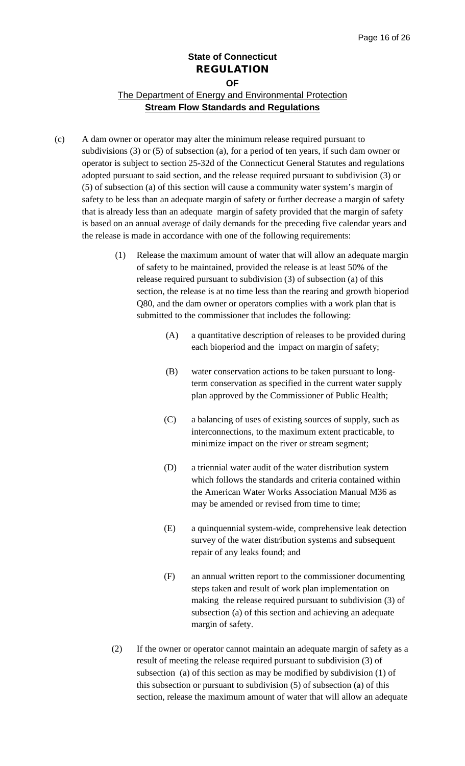## **State of Connecticut** REGULATION **OF** The Department of Energy and Environmental Protection **Stream Flow Standards and Regulations**

- (c) A dam owner or operator may alter the minimum release required pursuant to subdivisions (3) or (5) of subsection (a), for a period of ten years, if such dam owner or operator is subject to section 25-32d of the Connecticut General Statutes and regulations adopted pursuant to said section, and the release required pursuant to subdivision (3) or (5) of subsection (a) of this section will cause a community water system's margin of safety to be less than an adequate margin of safety or further decrease a margin of safety that is already less than an adequate margin of safety provided that the margin of safety is based on an annual average of daily demands for the preceding five calendar years and the release is made in accordance with one of the following requirements:
	- (1) Release the maximum amount of water that will allow an adequate margin of safety to be maintained, provided the release is at least 50% of the release required pursuant to subdivision (3) of subsection (a) of this section, the release is at no time less than the rearing and growth bioperiod Q80, and the dam owner or operators complies with a work plan that is submitted to the commissioner that includes the following:
		- (A) a quantitative description of releases to be provided during each bioperiod and the impact on margin of safety;
		- (B) water conservation actions to be taken pursuant to longterm conservation as specified in the current water supply plan approved by the Commissioner of Public Health;
		- (C) a balancing of uses of existing sources of supply, such as interconnections, to the maximum extent practicable, to minimize impact on the river or stream segment;
		- (D) a triennial water audit of the water distribution system which follows the standards and criteria contained within the American Water Works Association Manual M36 as may be amended or revised from time to time;
		- (E) a quinquennial system-wide, comprehensive leak detection survey of the water distribution systems and subsequent repair of any leaks found; and
		- (F) an annual written report to the commissioner documenting steps taken and result of work plan implementation on making the release required pursuant to subdivision (3) of subsection (a) of this section and achieving an adequate margin of safety.
	- (2) If the owner or operator cannot maintain an adequate margin of safety as a result of meeting the release required pursuant to subdivision (3) of subsection (a) of this section as may be modified by subdivision (1) of this subsection or pursuant to subdivision (5) of subsection (a) of this section, release the maximum amount of water that will allow an adequate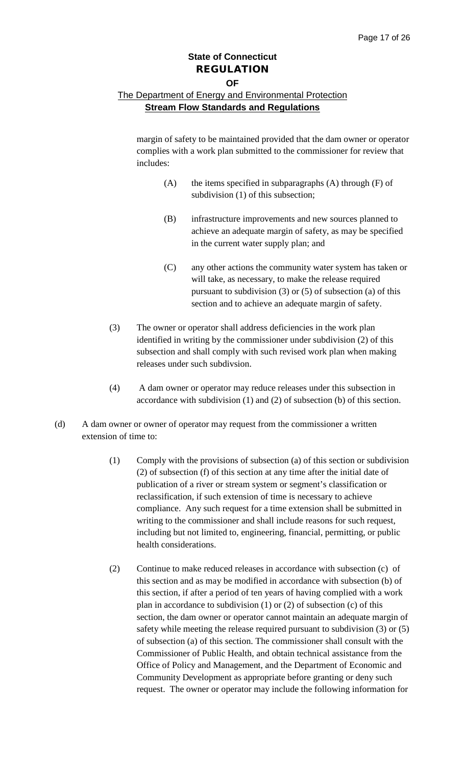### **OF**

## The Department of Energy and Environmental Protection **Stream Flow Standards and Regulations**

margin of safety to be maintained provided that the dam owner or operator complies with a work plan submitted to the commissioner for review that includes:

- $(A)$  the items specified in subparagraphs  $(A)$  through  $(F)$  of subdivision (1) of this subsection;
- (B) infrastructure improvements and new sources planned to achieve an adequate margin of safety, as may be specified in the current water supply plan; and
- (C) any other actions the community water system has taken or will take, as necessary, to make the release required pursuant to subdivision (3) or (5) of subsection (a) of this section and to achieve an adequate margin of safety.
- (3) The owner or operator shall address deficiencies in the work plan identified in writing by the commissioner under subdivision (2) of this subsection and shall comply with such revised work plan when making releases under such subdivsion.
- (4) A dam owner or operator may reduce releases under this subsection in accordance with subdivision (1) and (2) of subsection (b) of this section.
- (d) A dam owner or owner of operator may request from the commissioner a written extension of time to:
	- (1) Comply with the provisions of subsection (a) of this section or subdivision (2) of subsection (f) of this section at any time after the initial date of publication of a river or stream system or segment's classification or reclassification, if such extension of time is necessary to achieve compliance. Any such request for a time extension shall be submitted in writing to the commissioner and shall include reasons for such request, including but not limited to, engineering, financial, permitting, or public health considerations.
	- (2) Continue to make reduced releases in accordance with subsection (c) of this section and as may be modified in accordance with subsection (b) of this section, if after a period of ten years of having complied with a work plan in accordance to subdivision (1) or (2) of subsection (c) of this section, the dam owner or operator cannot maintain an adequate margin of safety while meeting the release required pursuant to subdivision (3) or (5) of subsection (a) of this section. The commissioner shall consult with the Commissioner of Public Health, and obtain technical assistance from the Office of Policy and Management, and the Department of Economic and Community Development as appropriate before granting or deny such request. The owner or operator may include the following information for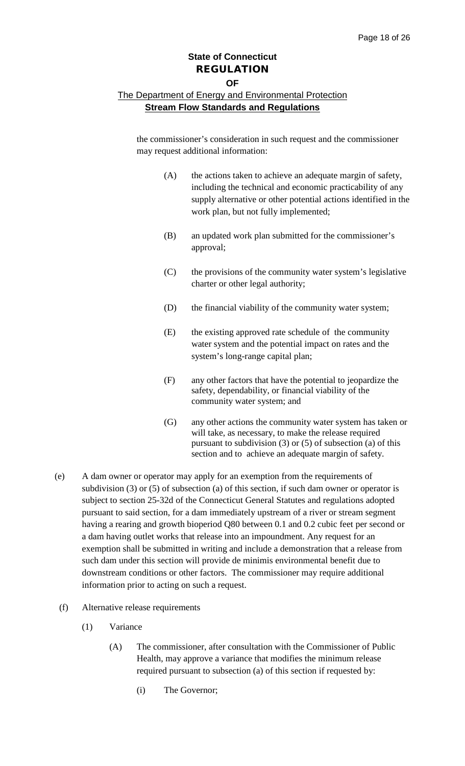#### **OF**

#### The Department of Energy and Environmental Protection **Stream Flow Standards and Regulations**

the commissioner's consideration in such request and the commissioner may request additional information:

- (A) the actions taken to achieve an adequate margin of safety, including the technical and economic practicability of any supply alternative or other potential actions identified in the work plan, but not fully implemented;
- (B) an updated work plan submitted for the commissioner's approval;
- (C) the provisions of the community water system's legislative charter or other legal authority;
- (D) the financial viability of the community water system;
- (E) the existing approved rate schedule of the community water system and the potential impact on rates and the system's long-range capital plan;
- (F) any other factors that have the potential to jeopardize the safety, dependability, or financial viability of the community water system; and
- (G) any other actions the community water system has taken or will take, as necessary, to make the release required pursuant to subdivision (3) or (5) of subsection (a) of this section and to achieve an adequate margin of safety.
- (e) A dam owner or operator may apply for an exemption from the requirements of subdivision (3) or (5) of subsection (a) of this section, if such dam owner or operator is subject to section 25-32d of the Connecticut General Statutes and regulations adopted pursuant to said section, for a dam immediately upstream of a river or stream segment having a rearing and growth bioperiod Q80 between 0.1 and 0.2 cubic feet per second or a dam having outlet works that release into an impoundment. Any request for an exemption shall be submitted in writing and include a demonstration that a release from such dam under this section will provide de minimis environmental benefit due to downstream conditions or other factors. The commissioner may require additional information prior to acting on such a request.
- (f) Alternative release requirements
	- (1) Variance
		- (A) The commissioner, after consultation with the Commissioner of Public Health, may approve a variance that modifies the minimum release required pursuant to subsection (a) of this section if requested by:
			- (i) The Governor;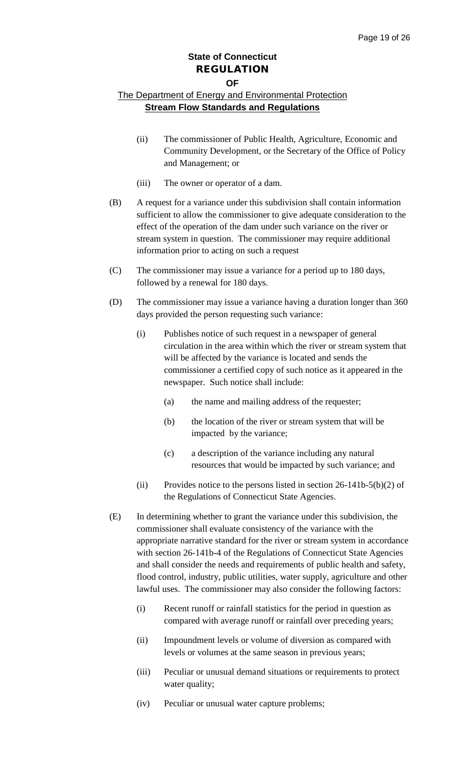#### **OF**

- (ii) The commissioner of Public Health, Agriculture, Economic and Community Development, or the Secretary of the Office of Policy and Management; or
- (iii) The owner or operator of a dam.
- (B) A request for a variance under this subdivision shall contain information sufficient to allow the commissioner to give adequate consideration to the effect of the operation of the dam under such variance on the river or stream system in question. The commissioner may require additional information prior to acting on such a request
- (C) The commissioner may issue a variance for a period up to 180 days, followed by a renewal for 180 days.
- (D) The commissioner may issue a variance having a duration longer than 360 days provided the person requesting such variance:
	- (i) Publishes notice of such request in a newspaper of general circulation in the area within which the river or stream system that will be affected by the variance is located and sends the commissioner a certified copy of such notice as it appeared in the newspaper. Such notice shall include:
		- (a) the name and mailing address of the requester;
		- (b) the location of the river or stream system that will be impacted by the variance;
		- (c) a description of the variance including any natural resources that would be impacted by such variance; and
	- (ii) Provides notice to the persons listed in section  $26-141b-5(b)(2)$  of the Regulations of Connecticut State Agencies.
- (E) In determining whether to grant the variance under this subdivision, the commissioner shall evaluate consistency of the variance with the appropriate narrative standard for the river or stream system in accordance with section 26-141b-4 of the Regulations of Connecticut State Agencies and shall consider the needs and requirements of public health and safety, flood control, industry, public utilities, water supply, agriculture and other lawful uses. The commissioner may also consider the following factors:
	- (i) Recent runoff or rainfall statistics for the period in question as compared with average runoff or rainfall over preceding years;
	- (ii) Impoundment levels or volume of diversion as compared with levels or volumes at the same season in previous years;
	- (iii) Peculiar or unusual demand situations or requirements to protect water quality;
	- (iv) Peculiar or unusual water capture problems;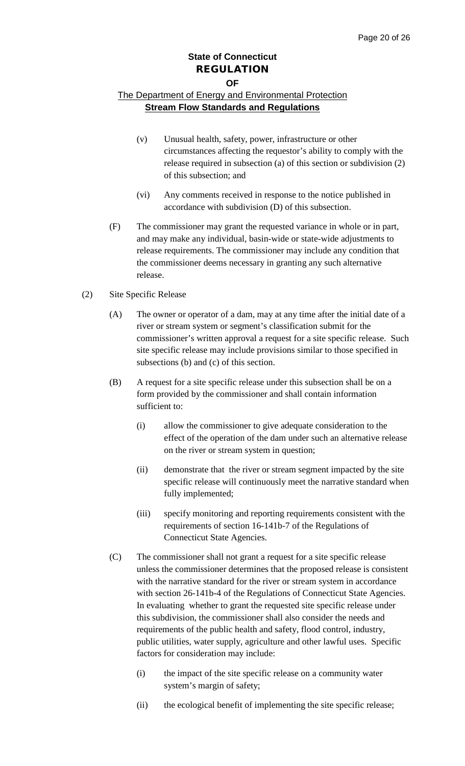#### **OF**

- (v) Unusual health, safety, power, infrastructure or other circumstances affecting the requestor's ability to comply with the release required in subsection (a) of this section or subdivision (2) of this subsection; and
- (vi) Any comments received in response to the notice published in accordance with subdivision (D) of this subsection.
- (F) The commissioner may grant the requested variance in whole or in part, and may make any individual, basin-wide or state-wide adjustments to release requirements. The commissioner may include any condition that the commissioner deems necessary in granting any such alternative release.
- (2) Site Specific Release
	- (A) The owner or operator of a dam, may at any time after the initial date of a river or stream system or segment's classification submit for the commissioner's written approval a request for a site specific release. Such site specific release may include provisions similar to those specified in subsections (b) and (c) of this section.
	- (B) A request for a site specific release under this subsection shall be on a form provided by the commissioner and shall contain information sufficient to:
		- (i) allow the commissioner to give adequate consideration to the effect of the operation of the dam under such an alternative release on the river or stream system in question;
		- (ii) demonstrate that the river or stream segment impacted by the site specific release will continuously meet the narrative standard when fully implemented;
		- (iii) specify monitoring and reporting requirements consistent with the requirements of section 16-141b-7 of the Regulations of Connecticut State Agencies.
	- (C) The commissioner shall not grant a request for a site specific release unless the commissioner determines that the proposed release is consistent with the narrative standard for the river or stream system in accordance with section 26-141b-4 of the Regulations of Connecticut State Agencies. In evaluating whether to grant the requested site specific release under this subdivision, the commissioner shall also consider the needs and requirements of the public health and safety, flood control, industry, public utilities, water supply, agriculture and other lawful uses. Specific factors for consideration may include:
		- (i) the impact of the site specific release on a community water system's margin of safety;
		- (ii) the ecological benefit of implementing the site specific release;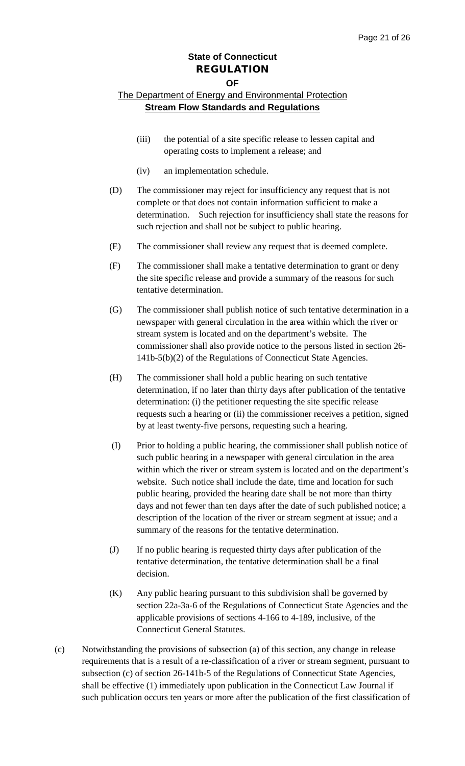#### **OF**

- (iii) the potential of a site specific release to lessen capital and operating costs to implement a release; and
- (iv) an implementation schedule.
- (D) The commissioner may reject for insufficiency any request that is not complete or that does not contain information sufficient to make a determination. Such rejection for insufficiency shall state the reasons for such rejection and shall not be subject to public hearing.
- (E) The commissioner shall review any request that is deemed complete.
- (F) The commissioner shall make a tentative determination to grant or deny the site specific release and provide a summary of the reasons for such tentative determination.
- (G) The commissioner shall publish notice of such tentative determination in a newspaper with general circulation in the area within which the river or stream system is located and on the department's website. The commissioner shall also provide notice to the persons listed in section 26- 141b-5(b)(2) of the Regulations of Connecticut State Agencies.
- (H) The commissioner shall hold a public hearing on such tentative determination, if no later than thirty days after publication of the tentative determination: (i) the petitioner requesting the site specific release requests such a hearing or (ii) the commissioner receives a petition, signed by at least twenty-five persons, requesting such a hearing.
- (I) Prior to holding a public hearing, the commissioner shall publish notice of such public hearing in a newspaper with general circulation in the area within which the river or stream system is located and on the department's website. Such notice shall include the date, time and location for such public hearing, provided the hearing date shall be not more than thirty days and not fewer than ten days after the date of such published notice; a description of the location of the river or stream segment at issue; and a summary of the reasons for the tentative determination.
- (J) If no public hearing is requested thirty days after publication of the tentative determination, the tentative determination shall be a final decision.
- (K) Any public hearing pursuant to this subdivision shall be governed by section 22a-3a-6 of the Regulations of Connecticut State Agencies and the applicable provisions of sections 4-166 to 4-189, inclusive, of the Connecticut General Statutes.
- (c) Notwithstanding the provisions of subsection (a) of this section, any change in release requirements that is a result of a re-classification of a river or stream segment, pursuant to subsection (c) of section 26-141b-5 of the Regulations of Connecticut State Agencies, shall be effective (1) immediately upon publication in the Connecticut Law Journal if such publication occurs ten years or more after the publication of the first classification of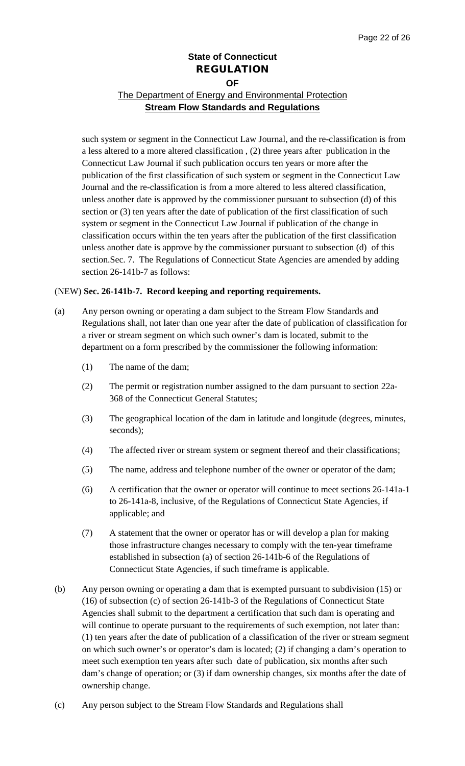## The Department of Energy and Environmental Protection **Stream Flow Standards and Regulations**

such system or segment in the Connecticut Law Journal, and the re-classification is from a less altered to a more altered classification , (2) three years after publication in the Connecticut Law Journal if such publication occurs ten years or more after the publication of the first classification of such system or segment in the Connecticut Law Journal and the re-classification is from a more altered to less altered classification, unless another date is approved by the commissioner pursuant to subsection (d) of this section or (3) ten years after the date of publication of the first classification of such system or segment in the Connecticut Law Journal if publication of the change in classification occurs within the ten years after the publication of the first classification unless another date is approve by the commissioner pursuant to subsection (d) of this section.Sec. 7. The Regulations of Connecticut State Agencies are amended by adding section 26-141b-7 as follows:

#### (NEW) **Sec. 26-141b-7. Record keeping and reporting requirements.**

- (a) Any person owning or operating a dam subject to the Stream Flow Standards and Regulations shall, not later than one year after the date of publication of classification for a river or stream segment on which such owner's dam is located, submit to the department on a form prescribed by the commissioner the following information:
	- (1) The name of the dam;
	- (2) The permit or registration number assigned to the dam pursuant to section 22a-368 of the Connecticut General Statutes;
	- (3) The geographical location of the dam in latitude and longitude (degrees, minutes, seconds);
	- (4) The affected river or stream system or segment thereof and their classifications;
	- (5) The name, address and telephone number of the owner or operator of the dam;
	- (6) A certification that the owner or operator will continue to meet sections 26-141a-1 to 26-141a-8, inclusive, of the Regulations of Connecticut State Agencies, if applicable; and
	- (7) A statement that the owner or operator has or will develop a plan for making those infrastructure changes necessary to comply with the ten-year timeframe established in subsection (a) of section 26-141b-6 of the Regulations of Connecticut State Agencies, if such timeframe is applicable.
- (b) Any person owning or operating a dam that is exempted pursuant to subdivision (15) or (16) of subsection (c) of section 26-141b-3 of the Regulations of Connecticut State Agencies shall submit to the department a certification that such dam is operating and will continue to operate pursuant to the requirements of such exemption, not later than: (1) ten years after the date of publication of a classification of the river or stream segment on which such owner's or operator's dam is located; (2) if changing a dam's operation to meet such exemption ten years after such date of publication, six months after such dam's change of operation; or (3) if dam ownership changes, six months after the date of ownership change.
- (c) Any person subject to the Stream Flow Standards and Regulations shall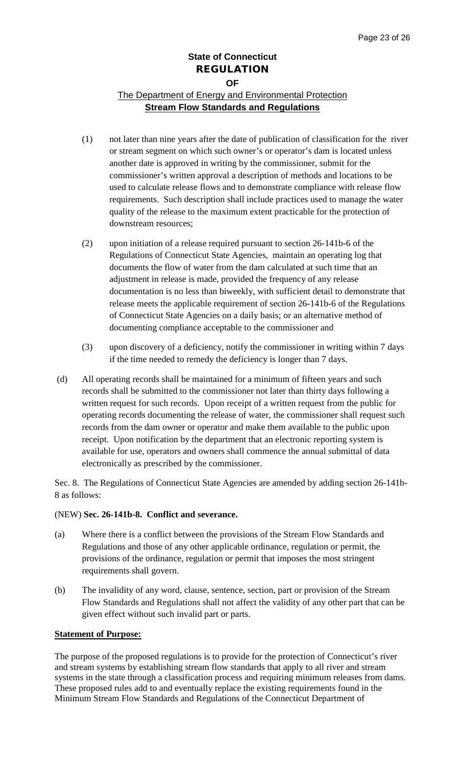## The Department of Energy and Environmental Protection **Stream Flow Standards and Regulations**

- (1) not later than nine years after the date of publication of classification for the river or stream segment on which such owner's or operator's dam is located unless another date is approved in writing by the commissioner, submit for the commissioner's written approval a description of methods and locations to be used to calculate release flows and to demonstrate compliance with release flow requirements. Such description shall include practices used to manage the water quality of the release to the maximum extent practicable for the protection of downstream resources;
- (2) upon initiation of a release required pursuant to section 26-141b-6 of the Regulations of Connecticut State Agencies, maintain an operating log that documents the flow of water from the dam calculated at such time that an adjustment in release is made, provided the frequency of any release documentation is no less than biweekly, with sufficient detail to demonstrate that release meets the applicable requirement of section 26-141b-6 of the Regulations of Connecticut State Agencies on a daily basis; or an alternative method of documenting compliance acceptable to the commissioner and
- (3) upon discovery of a deficiency, notify the commissioner in writing within 7 days if the time needed to remedy the deficiency is longer than 7 days.
- (d) All operating records shall be maintained for a minimum of fifteen years and such records shall be submitted to the commissioner not later than thirty days following a written request for such records. Upon receipt of a written request from the public for operating records documenting the release of water, the commissioner shall request such records from the dam owner or operator and make them available to the public upon receipt. Upon notification by the department that an electronic reporting system is available for use, operators and owners shall commence the annual submittal of data electronically as prescribed by the commissioner.

Sec. 8. The Regulations of Connecticut State Agencies are amended by adding section 26-141b-8 as follows:

#### (NEW) **Sec. 26-141b-8. Conflict and severance.**

- (a) Where there is a conflict between the provisions of the Stream Flow Standards and Regulations and those of any other applicable ordinance, regulation or permit, the provisions of the ordinance, regulation or permit that imposes the most stringent requirements shall govern.
- (b) The invalidity of any word, clause, sentence, section, part or provision of the Stream Flow Standards and Regulations shall not affect the validity of any other part that can be given effect without such invalid part or parts.

#### **Statement of Purpose:**

The purpose of the proposed regulations is to provide for the protection of Connecticut's river and stream systems by establishing stream flow standards that apply to all river and stream systems in the state through a classification process and requiring minimum releases from dams. These proposed rules add to and eventually replace the existing requirements found in the Minimum Stream Flow Standards and Regulations of the Connecticut Department of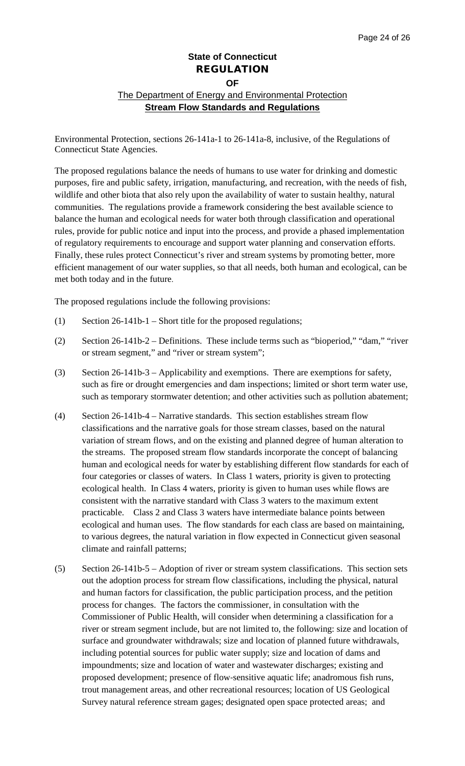## **State of Connecticut** REGULATION **OF** The Department of Energy and Environmental Protection **Stream Flow Standards and Regulations**

Environmental Protection, sections 26-141a-1 to 26-141a-8, inclusive, of the Regulations of Connecticut State Agencies.

The proposed regulations balance the needs of humans to use water for drinking and domestic purposes, fire and public safety, irrigation, manufacturing, and recreation, with the needs of fish, wildlife and other biota that also rely upon the availability of water to sustain healthy, natural communities. The regulations provide a framework considering the best available science to balance the human and ecological needs for water both through classification and operational rules, provide for public notice and input into the process, and provide a phased implementation of regulatory requirements to encourage and support water planning and conservation efforts. Finally, these rules protect Connecticut's river and stream systems by promoting better, more efficient management of our water supplies, so that all needs, both human and ecological, can be met both today and in the future.

The proposed regulations include the following provisions:

- (1) Section 26-141b-1 Short title for the proposed regulations;
- (2) Section 26-141b-2 Definitions. These include terms such as "bioperiod," "dam," "river or stream segment," and "river or stream system";
- (3) Section 26-141b-3 Applicability and exemptions. There are exemptions for safety, such as fire or drought emergencies and dam inspections; limited or short term water use, such as temporary stormwater detention; and other activities such as pollution abatement;
- (4) Section 26-141b-4 Narrative standards. This section establishes stream flow classifications and the narrative goals for those stream classes, based on the natural variation of stream flows, and on the existing and planned degree of human alteration to the streams. The proposed stream flow standards incorporate the concept of balancing human and ecological needs for water by establishing different flow standards for each of four categories or classes of waters. In Class 1 waters, priority is given to protecting ecological health. In Class 4 waters, priority is given to human uses while flows are consistent with the narrative standard with Class 3 waters to the maximum extent practicable. Class 2 and Class 3 waters have intermediate balance points between ecological and human uses. The flow standards for each class are based on maintaining, to various degrees, the natural variation in flow expected in Connecticut given seasonal climate and rainfall patterns;
- (5) Section 26-141b-5 Adoption of river or stream system classifications. This section sets out the adoption process for stream flow classifications, including the physical, natural and human factors for classification, the public participation process, and the petition process for changes. The factors the commissioner, in consultation with the Commissioner of Public Health, will consider when determining a classification for a river or stream segment include, but are not limited to, the following: size and location of surface and groundwater withdrawals; size and location of planned future withdrawals, including potential sources for public water supply; size and location of dams and impoundments; size and location of water and wastewater discharges; existing and proposed development; presence of flow‐sensitive aquatic life; anadromous fish runs, trout management areas, and other recreational resources; location of US Geological Survey natural reference stream gages; designated open space protected areas; and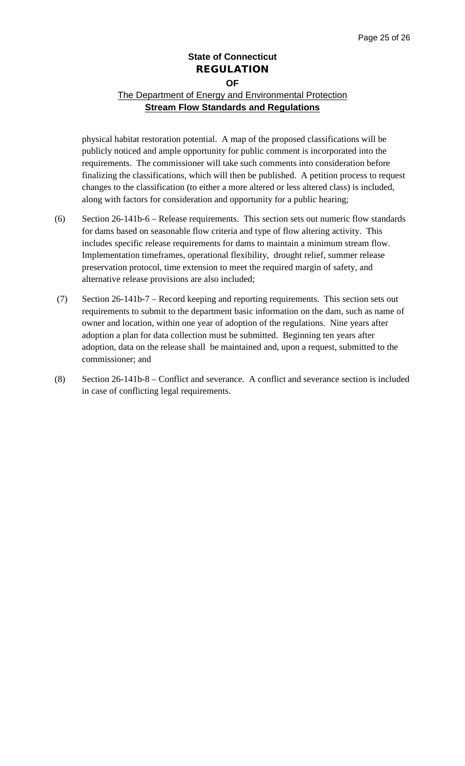## The Department of Energy and Environmental Protection **Stream Flow Standards and Regulations**

physical habitat restoration potential. A map of the proposed classifications will be publicly noticed and ample opportunity for public comment is incorporated into the requirements. The commissioner will take such comments into consideration before finalizing the classifications, which will then be published. A petition process to request changes to the classification (to either a more altered or less altered class) is included, along with factors for consideration and opportunity for a public hearing;

- (6) Section 26-141b-6 Release requirements. This section sets out numeric flow standards for dams based on seasonable flow criteria and type of flow altering activity. This includes specific release requirements for dams to maintain a minimum stream flow. Implementation timeframes, operational flexibility, drought relief, summer release preservation protocol, time extension to meet the required margin of safety, and alternative release provisions are also included;
- (7) Section 26-141b-7 Record keeping and reporting requirements. This section sets out requirements to submit to the department basic information on the dam, such as name of owner and location, within one year of adoption of the regulations. Nine years after adoption a plan for data collection must be submitted. Beginning ten years after adoption, data on the release shall be maintained and, upon a request, submitted to the commissioner; and
- (8) Section 26-141b-8 Conflict and severance. A conflict and severance section is included in case of conflicting legal requirements.